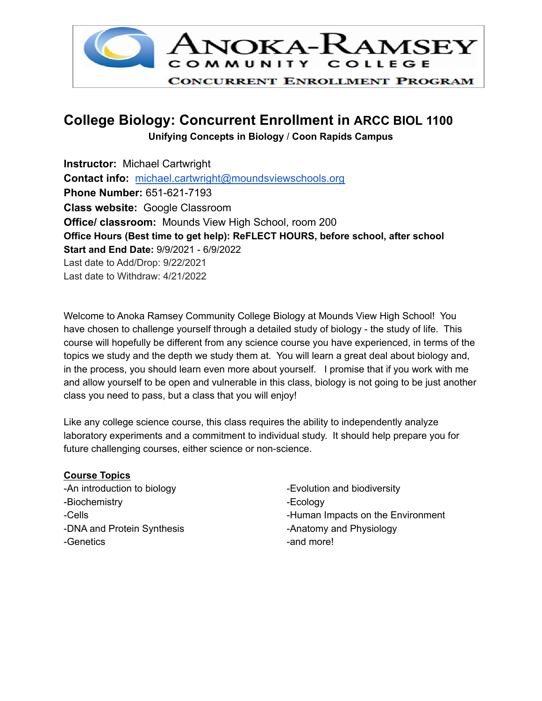

# **College Biology: Concurrent Enrollment in ARCC BIOL 1100**

 **Unifying Concepts in Biology** / **Coon Rapids Campus**

 **Office Hours (Best time to get help): ReFLECT HOURS, before school, after school Start and End Date:** 9/9/2021 - 6/9/2022 Last date to Add/Drop: 9/22/2021 Last date to Withdraw: 4/21/2022 **Instructor:** Michael Cartwright **Contact info:** [michael.cartwright@moundsviewschools.org](mailto:michael.cartwright@moundsviewschools.org) **Phone Number:** 651-621-7193 **Class website:** Google Classroom **Office/ classroom:** Mounds View High School, room 200

 Welcome to Anoka Ramsey Community College Biology at Mounds View High School! You have chosen to challenge yourself through a detailed study of biology - the study of life. This course will hopefully be different from any science course you have experienced, in terms of the topics we study and the depth we study them at. You will learn a great deal about biology and, in the process, you should learn even more about yourself. I promise that if you work with me and allow yourself to be open and vulnerable in this class, biology is not going to be just another class you need to pass, but a class that you will enjoy!

 Like any college science course, this class requires the ability to independently analyze laboratory experiments and a commitment to individual study. It should help prepare you for future challenging courses, either science or non-science.

# **Course Topics**

-An introduction to biology -DNA and Protein Synthesis **ALC 10 Anatomy and Physiology** -Anatomy and Physiology -Biochemistry **-Ecology** -Genetics  $\qquad \qquad -$ and more!

-Cells **-**Human Impacts on the Environment -Evolution and biodiversity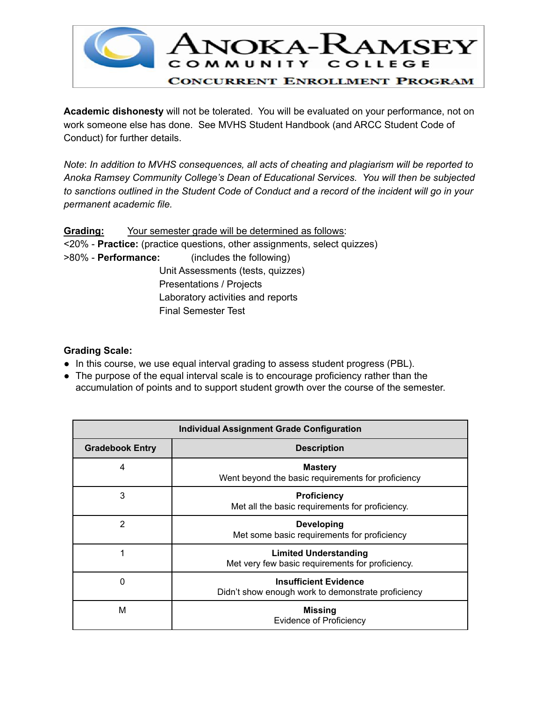

 **Academic dishonesty** will not be tolerated. You will be evaluated on your performance, not on work someone else has done. See MVHS Student Handbook (and ARCC Student Code of Conduct) for further details.

 *Note*: *In addition to MVHS consequences, all acts of cheating and plagiarism will be reported to Anoka Ramsey Community College's Dean of Educational Services. You will then be subjected* to sanctions outlined in the Student Code of Conduct and a record of the incident will go in your  *permanent academic file.*

 **Grading:** Your semester grade will be determined as follows: <20% - **Practice:** (practice questions, other assignments, select quizzes) >80% - **Performance:** (includes the following) Unit Assessments (tests, quizzes) Presentations / Projects Laboratory activities and reports Final Semester Test

## **Grading Scale:**

- In this course, we use equal interval grading to assess student progress (PBL).
- The purpose of the equal interval scale is to encourage proficiency rather than the accumulation of points and to support student growth over the course of the semester.

| <b>Individual Assignment Grade Configuration</b> |                                                                                    |  |  |
|--------------------------------------------------|------------------------------------------------------------------------------------|--|--|
| <b>Gradebook Entry</b>                           | <b>Description</b>                                                                 |  |  |
| 4                                                | <b>Mastery</b><br>Went beyond the basic requirements for proficiency               |  |  |
| 3                                                | <b>Proficiency</b><br>Met all the basic requirements for proficiency.              |  |  |
| $\overline{2}$                                   | <b>Developing</b><br>Met some basic requirements for proficiency                   |  |  |
| 1                                                | <b>Limited Understanding</b><br>Met very few basic requirements for proficiency.   |  |  |
| 0                                                | <b>Insufficient Evidence</b><br>Didn't show enough work to demonstrate proficiency |  |  |
| M                                                | <b>Missing</b><br><b>Evidence of Proficiency</b>                                   |  |  |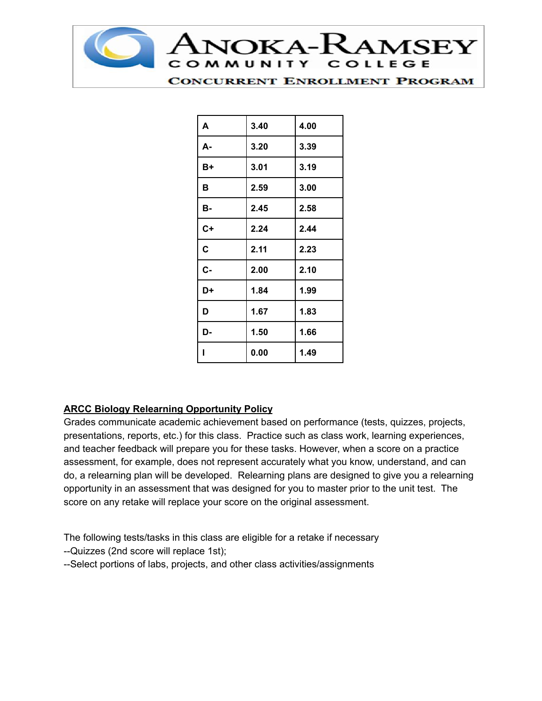

| A    | 3.40 | 4.00 |
|------|------|------|
| А-   | 3.20 | 3.39 |
| B+   | 3.01 | 3.19 |
| B    | 2.59 | 3.00 |
| B-   | 2.45 | 2.58 |
| $C+$ | 2.24 | 2.44 |
| C    | 2.11 | 2.23 |
| C-   | 2.00 | 2.10 |
| D+   | 1.84 | 1.99 |
| D    | 1.67 | 1.83 |
| D-   | 1.50 | 1.66 |
| ı    | 0.00 | 1.49 |

# **ARCC Biology Relearning Opportunity Policy**

 Grades communicate academic achievement based on performance (tests, quizzes, projects, presentations, reports, etc.) for this class. Practice such as class work, learning experiences, and teacher feedback will prepare you for these tasks. However, when a score on a practice assessment, for example, does not represent accurately what you know, understand, and can do, a relearning plan will be developed. Relearning plans are designed to give you a relearning opportunity in an assessment that was designed for you to master prior to the unit test. The score on any retake will replace your score on the original assessment.

The following tests/tasks in this class are eligible for a retake if necessary

- --Quizzes (2nd score will replace 1st);
- --Select portions of labs, projects, and other class activities/assignments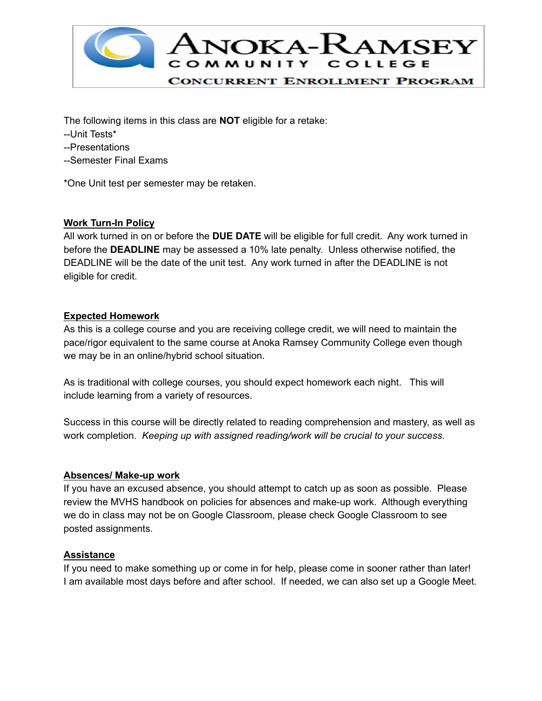

The following items in this class are **NOT** eligible for a retake:

- --Unit Tests\*
- --Presentations
- --Semester Final Exams

\*One Unit test per semester may be retaken.

### **Work Turn-In Policy**

 All work turned in on or before the **DUE DATE** will be eligible for full credit. Any work turned in before the **DEADLINE** may be assessed a 10% late penalty. Unless otherwise notified, the DEADLINE will be the date of the unit test. Any work turned in after the DEADLINE is not eligible for credit.

### **Expected Homework**

 As this is a college course and you are receiving college credit, we will need to maintain the pace/rigor equivalent to the same course at Anoka Ramsey Community College even though we may be in an online/hybrid school situation.

 As is traditional with college courses, you should expect homework each night. This will include learning from a variety of resources.

 Success in this course will be directly related to reading comprehension and mastery, as well as  work completion. *Keeping up with assigned reading/work will be crucial to your success.*

### **Absences/ Make-up work**

 If you have an excused absence, you should attempt to catch up as soon as possible. Please review the MVHS handbook on policies for absences and make-up work. Although everything we do in class may not be on Google Classroom, please check Google Classroom to see posted assignments.

### **Assistance**

 If you need to make something up or come in for help, please come in sooner rather than later! I am available most days before and after school. If needed, we can also set up a Google Meet.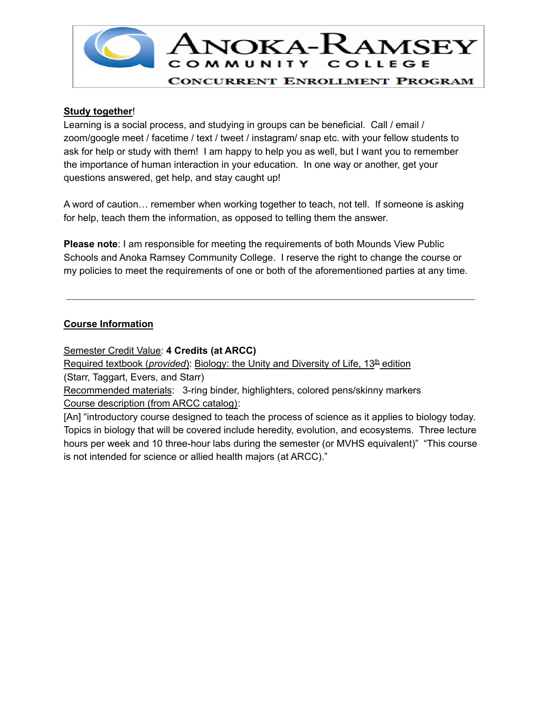

### **Study together**!

 Learning is a social process, and studying in groups can be beneficial. Call / email / zoom/google meet / facetime / text / tweet / instagram/ snap etc. with your fellow students to ask for help or study with them! I am happy to help you as well, but I want you to remember the importance of human interaction in your education. In one way or another, get your questions answered, get help, and stay caught up!

 A word of caution… remember when working together to teach, not tell. If someone is asking for help, teach them the information, as opposed to telling them the answer.

 **Please note**: I am responsible for meeting the requirements of both Mounds View Public Schools and Anoka Ramsey Community College. I reserve the right to change the course or my policies to meet the requirements of one or both of the aforementioned parties at any time.

# **Course Information**

 Semester Credit Value: **4 Credits (at ARCC)** Required textbook (*provided*): Biology: the Unity and Diversity of Life, 13<sup>th</sup> edition

(Starr, Taggart, Evers, and Starr)

Recommended materials: 3-ring binder, highlighters, colored pens/skinny markers Course description (from ARCC catalog):

 [An] "introductory course designed to teach the process of science as it applies to biology today. Topics in biology that will be covered include heredity, evolution, and ecosystems. Three lecture hours per week and 10 three-hour labs during the semester (or MVHS equivalent)" "This course is not intended for science or allied health majors (at ARCC)."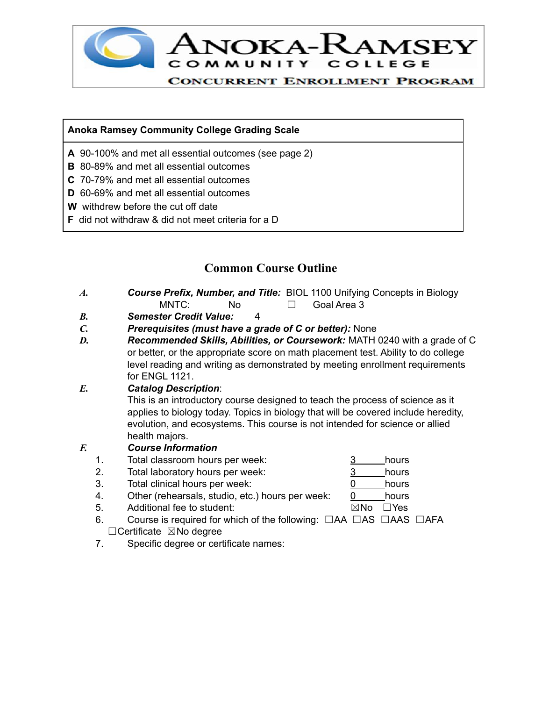

# **Anoka Ramsey Community College Grading Scale**

- **A** 90-100% and met all essential outcomes (see page 2)
- **B** 80-89% and met all essential outcomes
- **C** 70-79% and met all essential outcomes
- **D** 60-69% and met all essential outcomes
- **W** withdrew before the cut off date
- **F** did not withdraw & did not meet criteria for a D

# **Common Course Outline**

- *A. Course Prefix, Number, and Title:* BIOL 1100 Unifying Concepts in Biology  $\Box$ MNTC: No □ Goal Area 3
- *B. Semester Credit Value:* 4
- *C. Prerequisites (must have a grade of C or better):* None
- *D. Recommended Skills, Abilities, or Coursework:* MATH 0240 with a grade of C or better, or the appropriate score on math placement test. Ability to do college level reading and writing as demonstrated by meeting enrollment requirements for ENGL 1121.

# *E. Catalog Description*:

 This is an introductory course designed to teach the process of science as it applies to biology today. Topics in biology that will be covered include heredity, evolution, and ecosystems. This course is not intended for science or allied health majors.

### *F. Course Information*

- 1. Total classroom hours per week: 3 hours
- 2. Total laboratory hours per week: 3 hours
- 3. Total clinical hours per week: 0 hours
- 4. Other (rehearsals, studio, etc.) hours per week: 0 hours
- 5. Additional fee to student: ☒No ☐Yes
- 6. Course is required for which of the following: □AA □AS □AAS □AFA □Certificate ⊠No degree
- 7. Specific degree or certificate names:
-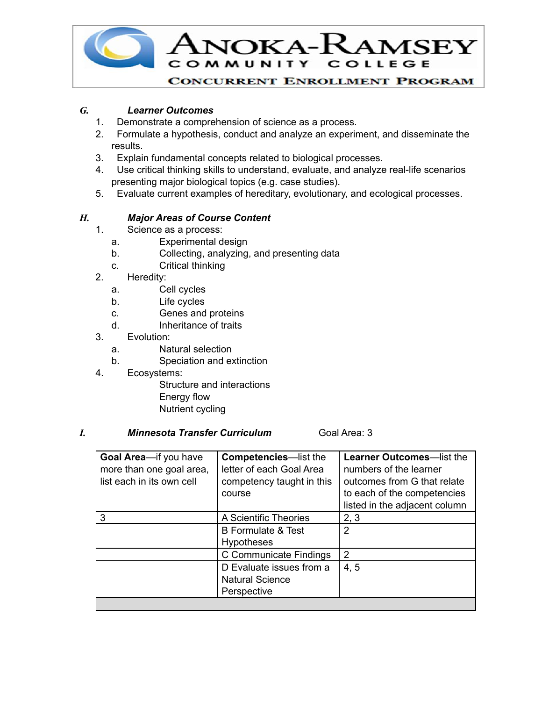

## *G. Learner Outcomes*

- 1. Demonstrate a comprehension of science as a process.
- 2. Formulate a hypothesis, conduct and analyze an experiment, and disseminate the results.
- 3. Explain fundamental concepts related to biological processes.
- 4. Use critical thinking skills to understand, evaluate, and analyze real-life scenarios presenting major biological topics (e.g. case studies).
- 5. Evaluate current examples of hereditary, evolutionary, and ecological processes.

### *H. Major Areas of Course Content*

- 1. Science as a process:
	- a. Experimental design
	- b. Collecting, analyzing, and presenting data
	- c. Critical thinking
- 2. Heredity:
	- a. Cell cycles
	- b. Life cycles
	- c. Genes and proteins
	- d. Inheritance of traits
- 3. Evolution:
	- a. Natural selection
	- b. Speciation and extinction
- 4. Ecosystems:

 Structure and interactions Energy flow Nutrient cycling

#### *I. Minnesota Transfer Curriculum* Goal Area: 3

| Goal Area-if you have<br>more than one goal area,<br>list each in its own cell | <b>Competencies-list the</b><br>letter of each Goal Area<br>competency taught in this<br>course | <b>Learner Outcomes-list the</b><br>numbers of the learner<br>outcomes from G that relate<br>to each of the competencies<br>listed in the adjacent column |
|--------------------------------------------------------------------------------|-------------------------------------------------------------------------------------------------|-----------------------------------------------------------------------------------------------------------------------------------------------------------|
| 3                                                                              | A Scientific Theories                                                                           | 2, 3                                                                                                                                                      |
|                                                                                | <b>B</b> Formulate & Test<br><b>Hypotheses</b>                                                  | 2                                                                                                                                                         |
|                                                                                | C Communicate Findings                                                                          | 2                                                                                                                                                         |
|                                                                                | D Evaluate issues from a<br><b>Natural Science</b><br>Perspective                               | 4, 5                                                                                                                                                      |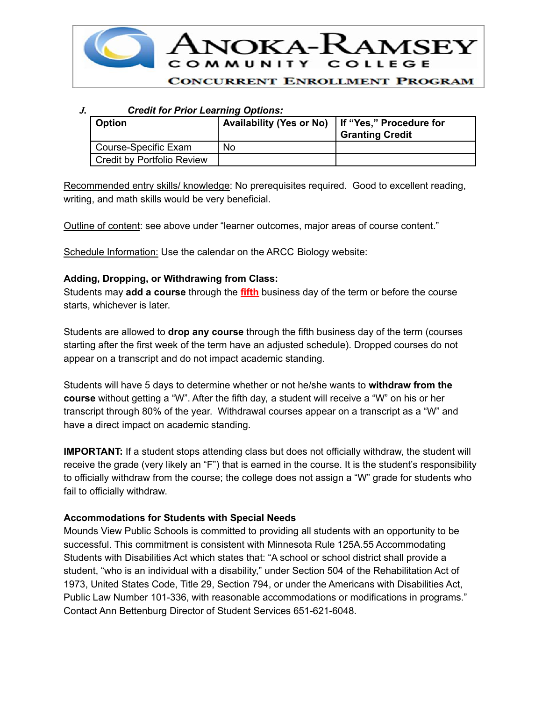

### *J. Credit for Prior Learning Options:*

| <b>Option</b>              | Availability (Yes or No)   If "Yes," Procedure for | <sup>1</sup> Granting Credit |
|----------------------------|----------------------------------------------------|------------------------------|
| Course-Specific Exam       | No                                                 |                              |
| Credit by Portfolio Review |                                                    |                              |

Recommended entry skills/ knowledge: No prerequisites required. Good to excellent reading, writing, and math skills would be very beneficial.

Outline of content: see above under "learner outcomes, major areas of course content."

Schedule Information: Use the calendar on the ARCC Biology website:

### **Adding, Dropping, or Withdrawing from Class:**

 Students may **add a course** through the **fifth** business day of the term or before the course starts, whichever is later.

 Students are allowed to **drop any course** through the fifth business day of the term (courses starting after the first week of the term have an adjusted schedule). Dropped courses do not appear on a transcript and do not impact academic standing.

 Students will have 5 days to determine whether or not he/she wants to **withdraw from the course** without getting a "W". After the fifth day, a student will receive a "W" on his or her transcript through 80% of the year. Withdrawal courses appear on a transcript as a "W" and have a direct impact on academic standing.

**IMPORTANT:** If a student stops attending class but does not officially withdraw, the student will receive the grade (very likely an "F") that is earned in the course. It is the student's responsibility to officially withdraw from the course; the college does not assign a "W" grade for students who fail to officially withdraw.

### **Accommodations for Students with Special Needs**

 Mounds View Public Schools is committed to providing all students with an opportunity to be successful. This commitment is consistent with Minnesota Rule 125A.55 Accommodating Students with Disabilities Act which states that: "A school or school district shall provide a student, "who is an individual with a disability," under Section 504 of the Rehabilitation Act of 1973, United States Code, Title 29, Section 794, or under the Americans with Disabilities Act, Public Law Number 101-336, with reasonable accommodations or modifications in programs." Contact Ann Bettenburg Director of Student Services 651-621-6048.